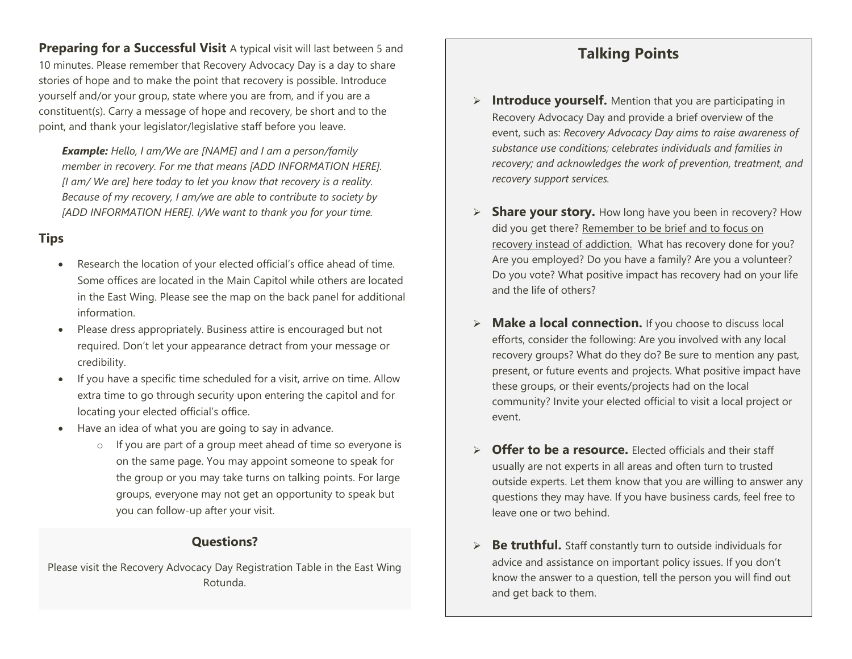**Preparing for a Successful Visit** A typical visit will last between 5 and 10 minutes. Please remember that Recovery Advocacy Day is a day to share stories of hope and to make the point that recovery is possible. Introduce yourself and/or your group, state where you are from, and if you are a constituent(s). Carry a message of hope and recovery, be short and to the point, and thank your legislator/legislative staff before you leave.

*Example: Hello, I am/We are [NAME] and I am a person/family member in recovery. For me that means [ADD INFORMATION HERE]. [I am/ We are] here today to let you know that recovery is a reality. Because of my recovery, I am/we are able to contribute to society by [ADD INFORMATION HERE]. I/We want to thank you for your time.* 

### **Tips**

- Research the location of your elected official's office ahead of time. Some offices are located in the Main Capitol while others are located in the East Wing. Please see the map on the back panel for additional information.
- Please dress appropriately. Business attire is encouraged but not required. Don't let your appearance detract from your message or credibility.
- If you have a specific time scheduled for a visit, arrive on time. Allow extra time to go through security upon entering the capitol and for locating your elected official's office.
- Have an idea of what you are going to say in advance.
	- o If you are part of a group meet ahead of time so everyone is on the same page. You may appoint someone to speak for the group or you may take turns on talking points. For large groups, everyone may not get an opportunity to speak but you can follow-up after your visit.

#### **Questions?**

Please visit the Recovery Advocacy Day Registration Table in the East Wing Rotunda.

# **Talking Points**

- **Introduce yourself.** Mention that you are participating in Recovery Advocacy Day and provide a brief overview of the event, such as: *Recovery Advocacy Day aims to raise awareness of substance use conditions; celebrates individuals and families in recovery; and acknowledges the work of prevention, treatment, and recovery support services.*
- **Share your story.** How long have you been in recovery? How did you get there? Remember to be brief and to focus on recovery instead of addiction. What has recovery done for you? Are you employed? Do you have a family? Are you a volunteer? Do you vote? What positive impact has recovery had on your life and the life of others?
- **Make a local connection.** If you choose to discuss local efforts, consider the following: Are you involved with any local recovery groups? What do they do? Be sure to mention any past, present, or future events and projects. What positive impact have these groups, or their events/projects had on the local community? Invite your elected official to visit a local project or event.
- **Offer to be a resource.** Elected officials and their staff usually are not experts in all areas and often turn to trusted outside experts. Let them know that you are willing to answer any questions they may have. If you have business cards, feel free to leave one or two behind.
- **► Be truthful.** Staff constantly turn to outside individuals for advice and assistance on important policy issues. If you don't know the answer to a question, tell the person you will find out and get back to them.